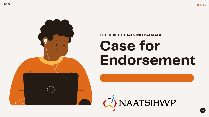



# Endorsement

### $\langle \hat{\ } \rangle$ NAATSIHWP

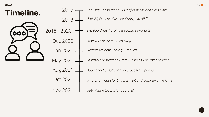*Develop Draft 1 Training package Products*

*Industry Consultation - Identifies needs and skills Gaps*

*SkillsIQ Presents Case for Change to AISC*

*Industry Consultation Draft 2 Training Package Products*

*Additional Consultation on proposed Diploma*

|                 | Industry Consultation - Identifies needs |
|-----------------|------------------------------------------|
| 2018            | SkillsIQ Presents Case for Change to Al  |
| 2018 - 2020     | Develop Draft 1 Training package Proc    |
| Dec 2020        | Industry Consultation on Draft 1         |
| Jan 2021        | Redraft Training Package Products        |
| May 2021        | Industry Consultation Draft 2 Training   |
| IUg ZI          | Additional Consultation on proposed D    |
| Oct 2021        | Final Draft, Case for Endorsement and    |
| <b>Nov 2021</b> | Submission to AISC for approval          |



*Final Draft, Case for Endorsement and Companion Volume*



2/10

### Timeline.

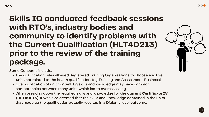Some Concerns include:

- The qualification rules allowed Registered Training Organisations to choose elective units not related to the health qualification. (eg Training and Assessment, Business)
- Over duplication of unit content. Eg skills and knowledge may have common competencies between many units which led to overassessing.
- When breaking down the required skills and knowledge for the current Certificate IV (HLT40213), it was also deemed that the skills and knowledge contained in the units that made up the qualification actually resulted in a Diploma level outcome.





### Skills IQ conducted feedback sessions with RTO's, industry bodies and community to identify problems with the Current Qualification (HLT40213) prior to the review of the training package.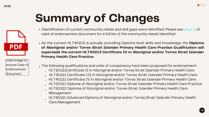- Identification of current community needs and skill gaps were identified, Please see page 3 of case of endorsement document for a full list of the community needs identified.
- As the current HLT40213 is actually providing Diploma level skills and knowledge, the Diploma of Aboriginal and/or Torres Strait Islander Primary Health Care Practice Qualification will supersede the current HLT40213 Certificate IV in Aboriginal and/or Torres Strait Islander Primary Health Care Practice.
- The following qualifications and units of competency have been proposed for endorsement:
	- HLT20121Certificate II in Aboriginal and/or Torres Strait Islander Primary Health Care
	- HLT30121 Certificate III in Aboriginal and/or Torres Strait Islander Primary Health Care
	- HLT40121 Certificate IV in Aboriginal and/or Torres Strait Islander Primary Health Care
	- HLT50121 Diploma of Aboriginal and/or Torres Strait Islander Primary Health Care Practice
	- HLT50221 Diploma of Aboriginal and/or Torres Strait Islander Primary Health Care  $\Omega$ Management
	- HLT60121 Advanced Diploma of Aboriginal and/or Torres Strait Islander Primary Health Care Management

# Summary of Changes

Click image to access Case of [endorsement](https://www.naatsihwp.org.au/sites/default/files/case_for_endorsement_-_atsihw_irc_-_october_8.pdf) document





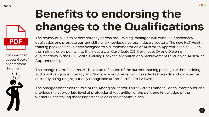The review of 78 units of competency across the Training Packages will remove unnecessary duplication and promote current skills and knowledge across industry sectors. The new HLT Health training packages have been designed to aid implementation of Australian Apprenticeships. Given the multiple entry points into the industry, all Certificate III, Certificate IV and Diploma qualifications in the HLT Health Training Package are suitable for achievement through an Australian Apprenticeship.

The change to the Diploma will be a true reflection of the current training package without adding additional Language, Literacy and Numeracy requirements. This reflects the skills and knowledge currently being taught, but only recognised at the Certificate IV level.

The changes confirms the role of the Aboriginal and/or Torres Strait Islander Health Practitioner and provides the appropriate level of professional recognition of the skills and knowledge of the workers undertaking these important roles in their communities.



# Benefits to endorsing the changes to the Qualifications

Click image to access Case of [endorsement](https://www.naatsihwp.org.au/sites/default/files/case_for_endorsement_-_atsihw_irc_-_october_8.pdf) document



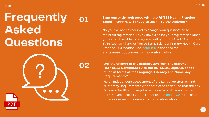Will the change of the qualification from the current HLT40213 Certificate IV to the HLT50121 Diploma be too much in terms of the Language, Literacy and Numeracy Requirements?

No, an independent assessment of the Language Literacy and Numeracy Requirements was completed and found that the new Diploma Qualification requirements were no different to the current Certificate IV requirements. See page 132 in the case for endorsement document for more information



#### I am currently registered with the A&TSI Health Practice Board - AHPRA, will i need to upskill to the Diploma?



No, you will not be required to change your qualification to maintain registration. If you have also let your registration lapse you will still be able to reregister with your HLT40213 Certificate IV in Aboriginal and/or Torres Strait Islander Primary Health Care Practice Qualification. See page 129 in the case for endorsement document for more information.

#### 6/10

### Frequently Asked Questions



02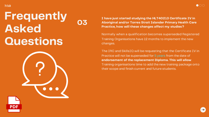I have just started studying the HLT40213 Certificate IV in Aboriginal and/or Torres Strait Islander Primary Health Care Practice, how will these changes affect my studies?

Normally when a qualification becomes superseded Registered Training Organisations have 12 months to implement the new changes.

The IRC and SkillsIQ will be requesting that the Certificate IV in Practice will not be superseded for 5 years from the date of endorsement of the replacement Diploma. This will allow Training organisations time to add the new training package onto their scope and finish current and future students.







#### 7/10

### Frequently Asked Questions

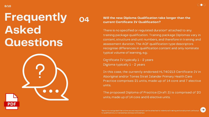#### Will the new Diploma Qualification take longer than the current Certificate IV Qualification?

There is no specified or regulated duration\* attached to any training package qualification. Training package Diplomas vary in content, structure and unit numbers, and therefore in training and assessment duration. The AQF qualification type descriptors recognise differences in qualification content and only nominate typical volume of learning, e.g.:

Certificate IV typically 1 – 2 years Diploma typically 1 – 2 years

In this case, the currently endorsed HLT40213 Certificate IV in Aboriginal and/or Torres Strait Islander Primary Health Care Practice comprises 21 units, made up of 14 core and 7 elective units.

The proposed Diploma of Practice (Draft 3) is comprised of 20 units, made up of 14 core and 6 elective units.



to qualifications, i.e. traineeships and apprenticeships.



 $\rightarrow$ 

- 
- 

### Frequently Asked Questions

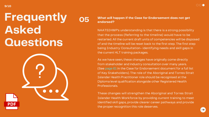#### What will happen if the Case for Endorsement does not get



endorsed?

NAATSIHWP's understanding is that there is a strong possibility that the process (Referring to the timeline) would have to be restarted. All the current draft units of competencies will be disposed of and the timeline will be reset back to the first step. The first step being Industry Consultation- identifying needs and skill gaps in the current HLT training packages.

As we have seen, these changes have originally come directly from stakeholder and industry consultation over many years. (See page 61 in the Case for Endorsement document for a full list of Key Stakeholders). The role of the Aboriginal and Torres Strait Islander Health Practitioner role should be recognised at the Diploma level qualification alongside other Registered Health Professionals.

These changes will strengthen the Aboriginal and Torres Strait Islander Health Workforce by providing current training to meet identified skill gaps, provide clearer career pathways and provide the proper recognition this role deserves.



### Frequently Asked Questions